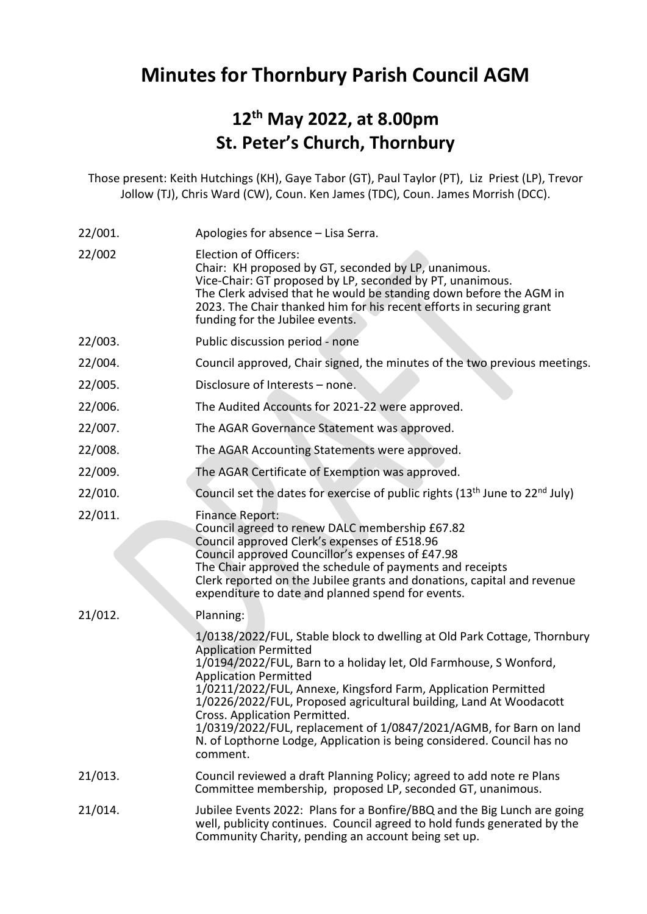## Minutes for Thornbury Parish Council AGM

## 12th May 2022, at 8.00pm St. Peter's Church, Thornbury

Those present: Keith Hutchings (KH), Gaye Tabor (GT), Paul Taylor (PT), Liz Priest (LP), Trevor Jollow (TJ), Chris Ward (CW), Coun. Ken James (TDC), Coun. James Morrish (DCC).

| 22/001. | Apologies for absence - Lisa Serra.                                                                                                                                                                                                                                                                                                                                                                                                                                                                                                                |
|---------|----------------------------------------------------------------------------------------------------------------------------------------------------------------------------------------------------------------------------------------------------------------------------------------------------------------------------------------------------------------------------------------------------------------------------------------------------------------------------------------------------------------------------------------------------|
| 22/002  | <b>Election of Officers:</b><br>Chair: KH proposed by GT, seconded by LP, unanimous.<br>Vice-Chair: GT proposed by LP, seconded by PT, unanimous.<br>The Clerk advised that he would be standing down before the AGM in<br>2023. The Chair thanked him for his recent efforts in securing grant<br>funding for the Jubilee events.                                                                                                                                                                                                                 |
| 22/003. | Public discussion period - none                                                                                                                                                                                                                                                                                                                                                                                                                                                                                                                    |
| 22/004. | Council approved, Chair signed, the minutes of the two previous meetings.                                                                                                                                                                                                                                                                                                                                                                                                                                                                          |
| 22/005. | Disclosure of Interests - none.                                                                                                                                                                                                                                                                                                                                                                                                                                                                                                                    |
| 22/006. | The Audited Accounts for 2021-22 were approved.                                                                                                                                                                                                                                                                                                                                                                                                                                                                                                    |
| 22/007. | The AGAR Governance Statement was approved.                                                                                                                                                                                                                                                                                                                                                                                                                                                                                                        |
| 22/008. | The AGAR Accounting Statements were approved.                                                                                                                                                                                                                                                                                                                                                                                                                                                                                                      |
| 22/009. | The AGAR Certificate of Exemption was approved.                                                                                                                                                                                                                                                                                                                                                                                                                                                                                                    |
| 22/010. | Council set the dates for exercise of public rights (13 <sup>th</sup> June to 22 <sup>nd</sup> July)                                                                                                                                                                                                                                                                                                                                                                                                                                               |
| 22/011. | <b>Finance Report:</b><br>Council agreed to renew DALC membership £67.82<br>Council approved Clerk's expenses of £518.96<br>Council approved Councillor's expenses of £47.98<br>The Chair approved the schedule of payments and receipts<br>Clerk reported on the Jubilee grants and donations, capital and revenue<br>expenditure to date and planned spend for events.                                                                                                                                                                           |
| 21/012. | Planning:                                                                                                                                                                                                                                                                                                                                                                                                                                                                                                                                          |
|         | 1/0138/2022/FUL, Stable block to dwelling at Old Park Cottage, Thornbury<br><b>Application Permitted</b><br>1/0194/2022/FUL, Barn to a holiday let, Old Farmhouse, S Wonford,<br><b>Application Permitted</b><br>1/0211/2022/FUL, Annexe, Kingsford Farm, Application Permitted<br>1/0226/2022/FUL, Proposed agricultural building, Land At Woodacott<br>Cross. Application Permitted.<br>1/0319/2022/FUL, replacement of 1/0847/2021/AGMB, for Barn on land<br>N. of Lopthorne Lodge, Application is being considered. Council has no<br>comment. |
| 21/013. | Council reviewed a draft Planning Policy; agreed to add note re Plans<br>Committee membership, proposed LP, seconded GT, unanimous.                                                                                                                                                                                                                                                                                                                                                                                                                |
| 21/014. | Jubilee Events 2022: Plans for a Bonfire/BBQ and the Big Lunch are going<br>well, publicity continues. Council agreed to hold funds generated by the<br>Community Charity, pending an account being set up.                                                                                                                                                                                                                                                                                                                                        |